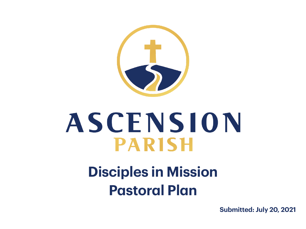

# ASCENSION **PARISH**

#### **Disciples in Mission Pastoral Plan**

**Submitted: July 20, 2021**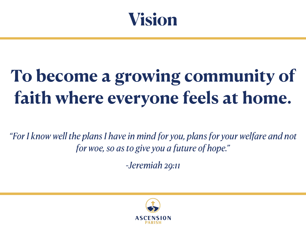

## **To become a growing community of faith where everyone feels at home.**

*"For I know well the plans I have in mind for you, plans for your welfare and not for woe, so as to give you a future of hope."* 

*-Jeremiah 29:11*

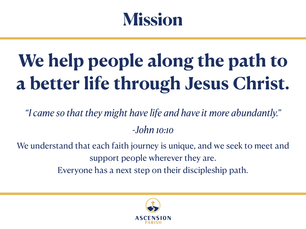#### **Mission**

# **We help people along the path to a better life through Jesus Christ.**

*"I came so that they might have life and have it more abundantly." -John 10:10*

We understand that each faith journey is unique, and we seek to meet and support people wherever they are.

Everyone has a next step on their discipleship path.

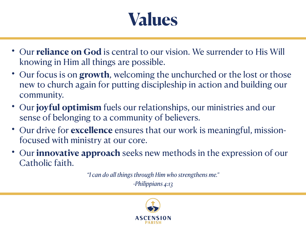### **Values**

- Our **reliance on God** is central to our vision. We surrender to His Will knowing in Him all things are possible.
- Our focus is on **growth**, welcoming the unchurched or the lost or those new to church again for putting discipleship in action and building our community.
- Our **joyful optimism** fuels our relationships, our ministries and our sense of belonging to a community of believers.
- Our drive for **excellence** ensures that our work is meaningful, missionfocused with ministry at our core.
- Our **innovative approach** seeks new methods in the expression of our Catholic faith.

*"I can do all things through Him who strengthens me." -Philippians 4:13*

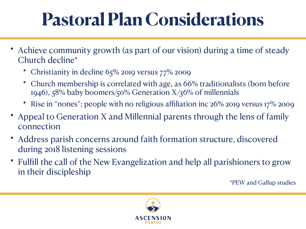## **Pastoral Plan Considerations**

- Achieve community growth (as part of our vision) during a time of steady Church decline\*
	- Christianity in decline  $65\%$  2019 versus  $77\%$  2009
	- Church membership is correlated with age, as 66% traditionalists (born before 1946), 58% baby boomers/50% Generation X/36% of millennials
	- Rise in "nones"; people with no religious affiliation inc  $26\%$  2019 versus 17 $\%$  2009
- Appeal to Generation X and Millennial parents through the lens of family connection
- Address parish concerns around faith formation structure, discovered during 2018 listening sessions
- Fulfill the call of the New Evangelization and help all parishioners to grow in their discipleship

\*PEW and Gallup studies

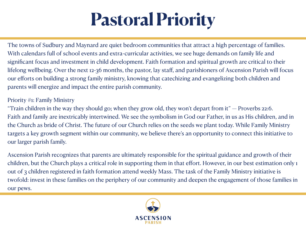### **Pastoral Priority**

The towns of Sudbury and Maynard are quiet bedroom communities that attract a high percentage of families. With calendars full of school events and extra-curricular activities, we see huge demands on family life and significant focus and investment in child development. Faith formation and spiritual growth are critical to their lifelong wellbeing. Over the next 12-36 months, the pastor, lay staff, and parishioners of Ascension Parish will focus our efforts on building a strong family ministry, knowing that catechizing and evangelizing both children and parents will energize and impact the entire parish community.

#### Priority #1: Family Ministry

"Train children in the way they should go; when they grow old, they won't depart from it" — Proverbs 22:6. Faith and family are inextricably intertwined. We see the symbolism in God our Father, in us as His children, and in the Church as bride of Christ. The future of our Church relies on the seeds we plant today. While Family Ministry targets a key growth segment within our community, we believe there's an opportunity to connect this initiative to our larger parish family.

Ascension Parish recognizes that parents are ultimately responsible for the spiritual guidance and growth of their children, but the Church plays a critical role in supporting them in that effort. However, in our best estimation only 1 out of 3 children registered in faith formation attend weekly Mass. The task of the Family Ministry initiative is twofold: invest in these families on the periphery of our community and deepen the engagement of those families in our pews.

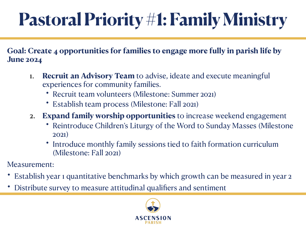# **Pastoral Priority #1: Family Ministry**

**Goal: Create 4 opportunities for families to engage more fully in parish life by June 2024**

- 1. **Recruit an Advisory Team** to advise, ideate and execute meaningful experiences for community families.
	- Recruit team volunteers (Milestone: Summer 2021)
	- Establish team process (Milestone: Fall 2021)
- 2. **Expand family worship opportunities** to increase weekend engagement
	- Reintroduce Children's Liturgy of the Word to Sunday Masses (Milestone 2021)
	- Introduce monthly family sessions tied to faith formation curriculum (Milestone: Fall 2021)

Measurement:

- Establish year 1 quantitative benchmarks by which growth can be measured in year 2
- Distribute survey to measure attitudinal qualifiers and sentiment

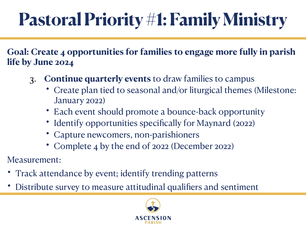## **Pastoral Priority #1: Family Ministry**

**Goal: Create 4 opportunities for families to engage more fully in parish life by June 2024**

- 3. **Continue quarterly events** to draw families to campus
	- Create plan tied to seasonal and/or liturgical themes (Milestone: January 2022)
	- Each event should promote a bounce-back opportunity
	- Identify opportunities specifically for Maynard (2022)
	- Capture newcomers, non-parishioners
	- Complete 4 by the end of 2022 (December 2022)

Measurement:

- Track attendance by event; identify trending patterns
- Distribute survey to measure attitudinal qualifiers and sentiment

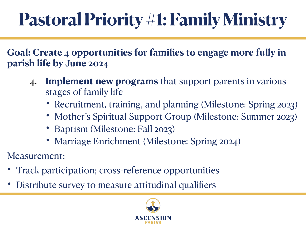## **Pastoral Priority #1: Family Ministry**

**Goal: Create 4 opportunities for families to engage more fully in parish life by June 2024**

- 4. **Implement new programs** that support parents in various stages of family life
	- Recruitment, training, and planning (Milestone: Spring 2023)
	- Mother's Spiritual Support Group (Milestone: Summer 2023)
	- Baptism (Milestone: Fall 2023)
	- Marriage Enrichment (Milestone: Spring 2024)
- Measurement:
- Track participation; cross-reference opportunities
- Distribute survey to measure attitudinal qualifiers